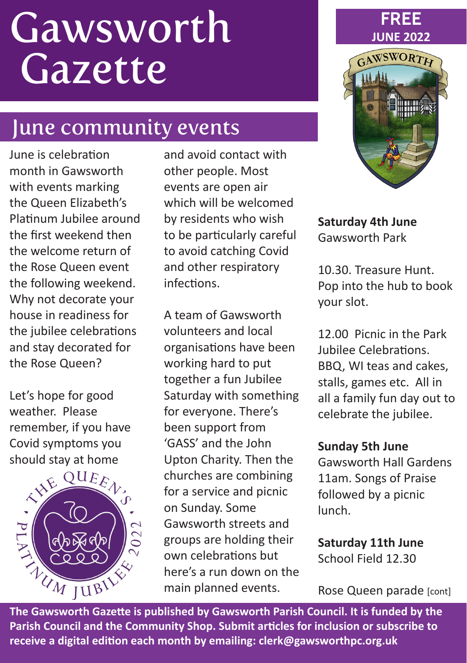# **Gawsworth** Gazette

### June community events

June is celebration month in Gawsworth with events marking the Queen Elizabeth's Platinum Jubilee around the first weekend then the welcome return of the Rose Queen event the following weekend. Why not decorate your house in readiness for the jubilee celebrations and stay decorated for the Rose Queen?

Let's hope for good weather. Please remember, if you have Covid symptoms you should stay at home



and avoid contact with other people. Most events are open air which will be welcomed by residents who wish to be particularly careful to avoid catching Covid and other respiratory infections.

A team of Gawsworth volunteers and local organisations have been working hard to put together a fun Jubilee Saturday with something for everyone. There's been support from 'GASS' and the John Upton Charity. Then the churches are combining for a service and picnic on Sunday. Some Gawsworth streets and groups are holding their own celebrations but here's a run down on the main planned events.



**FREE**

**Saturday 4th June** Gawsworth Park

10.30. Treasure Hunt. Pop into the hub to book your slot.

12.00 Picnic in the Park Jubilee Celebrations. BBQ, WI teas and cakes, stalls, games etc. All in all a family fun day out to celebrate the jubilee.

#### **Sunday 5th June**

Gawsworth Hall Gardens 11am. Songs of Praise followed by a picnic lunch.

**Saturday 11th June** School Field 12.30

Rose Queen parade [cont]

**Parish Council and the Community Shop. Submit articles for inclusion or subscribe to receive a digital edition each month by emailing: clerk@gawsworthpc.org.uk**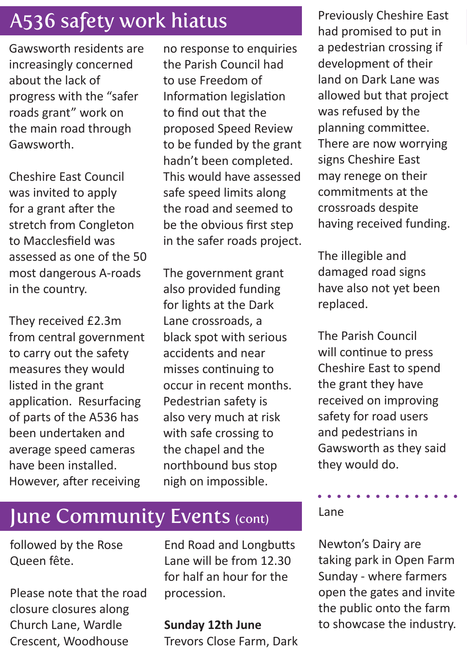## A536 safety work hiatus Previously Cheshire East

Gawsworth residents are increasingly concerned about the lack of progress with the "safer roads grant" work on the main road through Gawsworth.

Cheshire East Council was invited to apply for a grant after the stretch from Congleton to Macclesfield was assessed as one of the 50 most dangerous A-roads in the country.

They received £2.3m from central government to carry out the safety measures they would listed in the grant application. Resurfacing of parts of the A536 has been undertaken and average speed cameras have been installed. However, after receiving

no response to enquiries the Parish Council had to use Freedom of Information legislation to find out that the proposed Speed Review to be funded by the grant hadn't been completed. This would have assessed safe speed limits along the road and seemed to be the obvious first step in the safer roads project.

The government grant also provided funding for lights at the Dark Lane crossroads, a black spot with serious accidents and near misses continuing to occur in recent months. Pedestrian safety is also very much at risk with safe crossing to the chapel and the northbound bus stop nigh on impossible.

June Community Events (cont)

followed by the Rose Queen fête.

Please note that the road closure closures along Church Lane, Wardle Crescent, Woodhouse

End Road and Longbutts Lane will be from 12.30 for half an hour for the procession.

#### **Sunday 12th June**

Trevors Close Farm, Dark

had promised to put in a pedestrian crossing if development of their land on Dark Lane was allowed but that project was refused by the planning committee. There are now worrying signs Cheshire East may renege on their commitments at the crossroads despite having received funding.

The illegible and damaged road signs have also not yet been replaced.

The Parish Council will continue to press Cheshire East to spend the grant they have received on improving safety for road users and pedestrians in Gawsworth as they said they would do.

 $\mathbf{A} \mathbf{A} \mathbf{A} \mathbf{A} \mathbf{A} \mathbf{A} \mathbf{A} \mathbf{A} \mathbf{A} \mathbf{A} \mathbf{A}$ Lane

Newton's Dairy are taking park in Open Farm Sunday - where farmers open the gates and invite the public onto the farm to showcase the industry.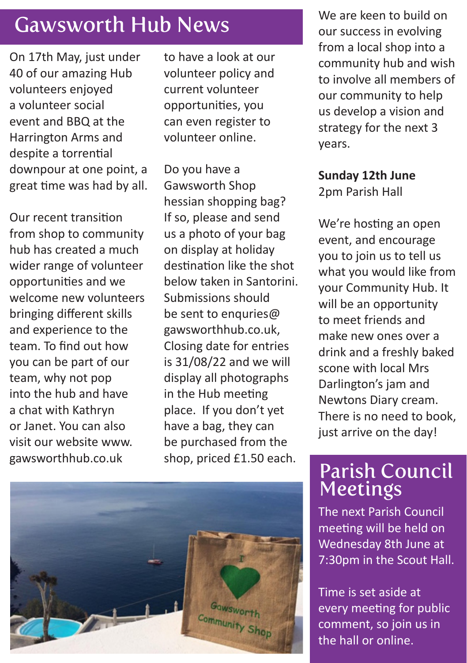### Gawsworth Hub News

On 17th May, just under 40 of our amazing Hub volunteers enjoyed a volunteer social event and BBQ at the Harrington Arms and despite a torrential downpour at one point, a great time was had by all.

Our recent transition from shop to community hub has created a much wider range of volunteer opportunities and we welcome new volunteers bringing different skills and experience to the team. To find out how you can be part of our team, why not pop into the hub and have a chat with Kathryn or Janet. You can also visit our website www. gawsworthhub.co.uk

to have a look at our volunteer policy and current volunteer opportunities, you can even register to volunteer online.

Do you have a Gawsworth Shop hessian shopping bag? If so, please and send us a photo of your bag on display at holiday destination like the shot below taken in Santorini. Submissions should be sent to enquries@ gawsworthhub.co.uk, Closing date for entries is 31/08/22 and we will display all photographs in the Hub meeting place. If you don't yet have a bag, they can be purchased from the shop, priced £1.50 each.



We are keen to build on our success in evolving from a local shop into a community hub and wish to involve all members of our community to help us develop a vision and strategy for the next 3 years.

### **Sunday 12th June**

2pm Parish Hall

We're hosting an open event, and encourage you to join us to tell us what you would like from your Community Hub. It will be an opportunity to meet friends and make new ones over a drink and a freshly baked scone with local Mrs Darlington's jam and Newtons Diary cream. There is no need to book, just arrive on the day!

### Parish Council Meetings

The next Parish Council meeting will be held on Wednesday 8th June at 7:30pm in the Scout Hall.

Time is set aside at every meeting for public comment, so join us in the hall or online.